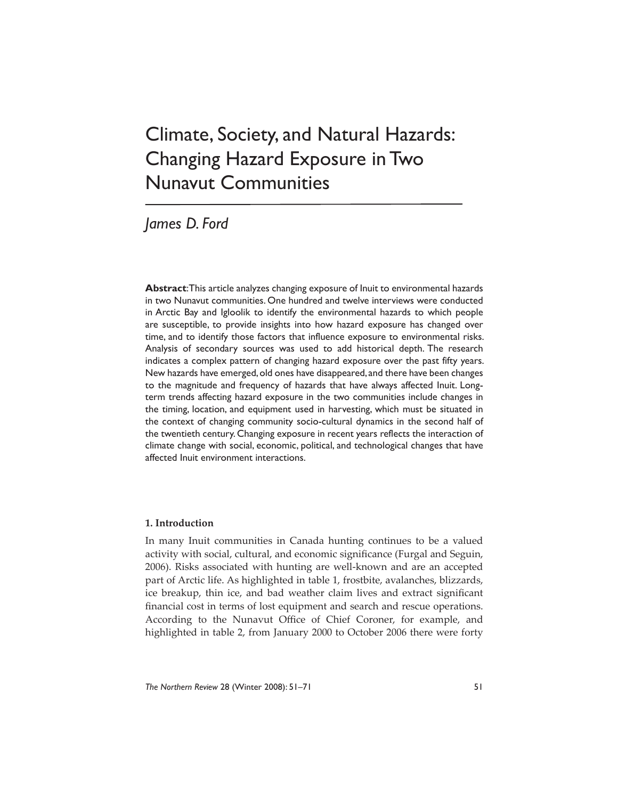# Climate, Society, and Natural Hazards: Changing Hazard Exposure in Two Nunavut Communities

## *James D. Ford*

**Abstract**: This article analyzes changing exposure of Inuit to environmental hazards in two Nunavut communities. One hundred and twelve interviews were conducted in Arctic Bay and Igloolik to identify the environmental hazards to which people are susceptible, to provide insights into how hazard exposure has changed over time, and to identify those factors that influence exposure to environmental risks. Analysis of secondary sources was used to add historical depth. The research indicates a complex pattern of changing hazard exposure over the past fifty years. New hazards have emerged, old ones have disappeared, and there have been changes to the magnitude and frequency of hazards that have always affected Inuit. Longterm trends affecting hazard exposure in the two communities include changes in the timing, location, and equipment used in harvesting, which must be situated in the context of changing community socio-cultural dynamics in the second half of the twentieth century. Changing exposure in recent years reflects the interaction of climate change with social, economic, political, and technological changes that have affected Inuit environment interactions.

### **1. Introduction**

In many Inuit communities in Canada hunting continues to be a valued activity with social, cultural, and economic significance (Furgal and Seguin, 2006). Risks associated with hunting are well-known and are an accepted part of Arctic life. As highlighted in table 1, frostbite, avalanches, blizzards, ice breakup, thin ice, and bad weather claim lives and extract significant financial cost in terms of lost equipment and search and rescue operations. According to the Nunavut Office of Chief Coroner, for example, and highlighted in table 2, from January 2000 to October 2006 there were forty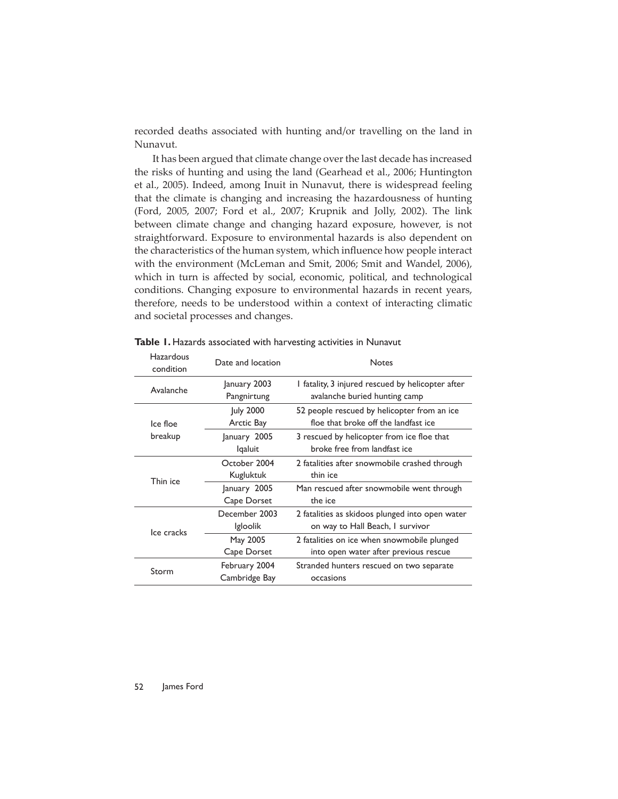recorded deaths associated with hunting and/or travelling on the land in Nunavut.

It has been argued that climate change over the last decade has increased the risks of hunting and using the land (Gearhead et al., 2006; Huntington et al., 2005). Indeed, among Inuit in Nunavut, there is widespread feeling that the climate is changing and increasing the hazardousness of hunting (Ford, 2005, 2007; Ford et al., 2007; Krupnik and Jolly, 2002). The link between climate change and changing hazard exposure, however, is not straightforward. Exposure to environmental hazards is also dependent on the characteristics of the human system, which influence how people interact with the environment (McLeman and Smit, 2006; Smit and Wandel, 2006), which in turn is affected by social, economic, political, and technological conditions. Changing exposure to environmental hazards in recent years, therefore, needs to be understood within a context of interacting climatic and societal processes and changes.

| Hazardous<br>condition | Date and location | <b>Notes</b>                                      |
|------------------------|-------------------|---------------------------------------------------|
| Avalanche              | January 2003      | I fatality, 3 injured rescued by helicopter after |
|                        | Pangnirtung       | avalanche buried hunting camp                     |
| Ice floe<br>breakup    | July 2000         | 52 people rescued by helicopter from an ice       |
|                        | Arctic Bay        | floe that broke off the landfast ice              |
|                        | January 2005      | 3 rescued by helicopter from ice floe that        |
|                        | lqaluit           | broke free from landfast ice                      |
| Thin ice               | October 2004      | 2 fatalities after snowmobile crashed through     |
|                        | Kugluktuk         | thin ice                                          |
|                        | January 2005      | Man rescued after snowmobile went through         |
|                        | Cape Dorset       | the ice                                           |
| Ice cracks             | December 2003     | 2 fatalities as skidoos plunged into open water   |
|                        | <i>Igloolik</i>   | on way to Hall Beach, I survivor                  |
|                        | May 2005          | 2 fatalities on ice when snowmobile plunged       |
|                        | Cape Dorset       | into open water after previous rescue             |
| Storm                  | February 2004     | Stranded hunters rescued on two separate          |
|                        | Cambridge Bay     | occasions                                         |

**Table 1.** Hazards associated with harvesting activities in Nunavut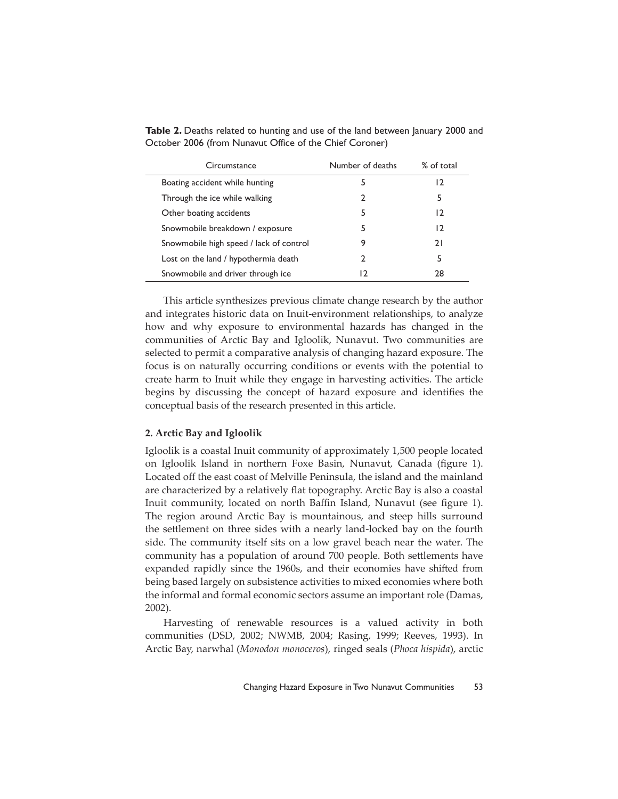| Circumstance                            | Number of deaths | % of total |
|-----------------------------------------|------------------|------------|
| Boating accident while hunting          | 5                | 12         |
| Through the ice while walking           | 7                | 5          |
| Other boating accidents                 | 5                | 12         |
| Snowmobile breakdown / exposure         | 5                | 12         |
| Snowmobile high speed / lack of control |                  | 21         |
| Lost on the land / hypothermia death    | 7                | 5          |
| Snowmobile and driver through ice       | 12               | 28         |

**Table 2.** Deaths related to hunting and use of the land between January 2000 and October 2006 (from Nunavut Office of the Chief Coroner)

This article synthesizes previous climate change research by the author and integrates historic data on Inuit-environment relationships, to analyze how and why exposure to environmental hazards has changed in the communities of Arctic Bay and Igloolik, Nunavut. Two communities are selected to permit a comparative analysis of changing hazard exposure. The focus is on naturally occurring conditions or events with the potential to create harm to Inuit while they engage in harvesting activities. The article begins by discussing the concept of hazard exposure and identifies the conceptual basis of the research presented in this article.

#### **2. Arctic Bay and Igloolik**

Igloolik is a coastal Inuit community of approximately 1,500 people located on Igloolik Island in northern Foxe Basin, Nunavut, Canada (figure 1). Located off the east coast of Melville Peninsula, the island and the mainland are characterized by a relatively flat topography. Arctic Bay is also a coastal Inuit community, located on north Baffin Island, Nunavut (see figure 1). The region around Arctic Bay is mountainous, and steep hills surround the settlement on three sides with a nearly land-locked bay on the fourth side. The community itself sits on a low gravel beach near the water. The community has a population of around 700 people. Both settlements have expanded rapidly since the 1960s, and their economies have shifted from being based largely on subsistence activities to mixed economies where both the informal and formal economic sectors assume an important role (Damas, 2002).

Harvesting of renewable resources is a valued activity in both communities (DSD, 2002; NWMB, 2004; Rasing, 1999; Reeves, 1993). In Arctic Bay, narwhal (*Monodon monoceros*), ringed seals (*Phoca hispida*), arctic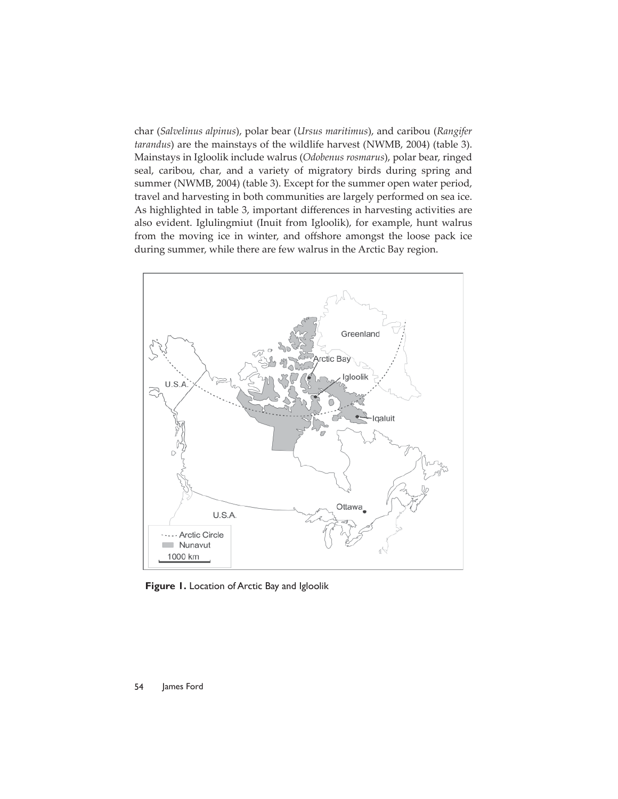char (*Salvelinus alpinus*), polar bear (*Ursus maritimus*), and caribou (*Rangifer tarandus*) are the mainstays of the wildlife harvest (NWMB, 2004) (table 3). Mainstays in Igloolik include walrus (*Odobenus rosmarus*), polar bear, ringed seal, caribou, char, and a variety of migratory birds during spring and summer (NWMB, 2004) (table 3). Except for the summer open water period, travel and harvesting in both communities are largely performed on sea ice. As highlighted in table 3, important differences in harvesting activities are also evident. Iglulingmiut (Inuit from Igloolik), for example, hunt walrus from the moving ice in winter, and offshore amongst the loose pack ice during summer, while there are few walrus in the Arctic Bay region.



**Figure 1.** Location of Arctic Bay and Igloolik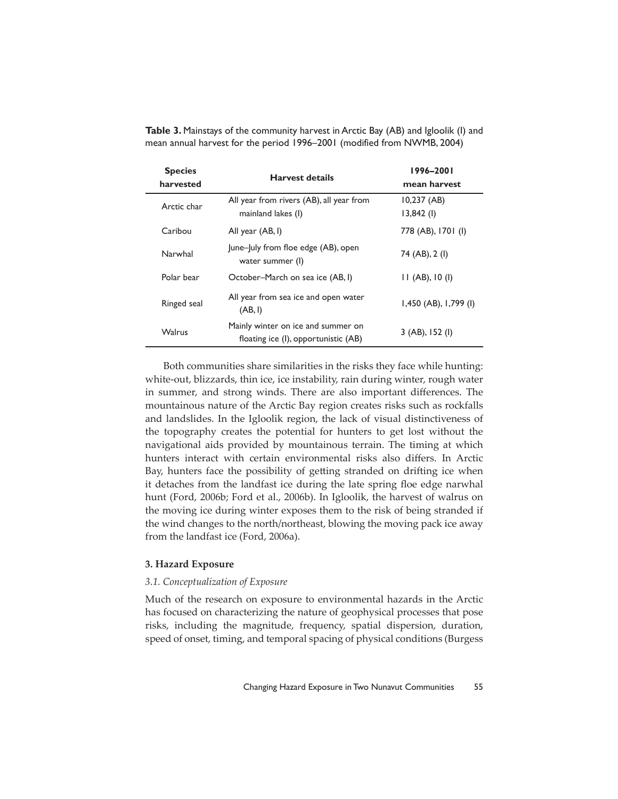| <b>Species</b><br>harvested | <b>Harvest details</b>                                                     | 1996-2001<br>mean harvest  |
|-----------------------------|----------------------------------------------------------------------------|----------------------------|
| Arctic char                 | All year from rivers (AB), all year from<br>mainland lakes (I)             | $10,237$ (AB)<br>13,842(1) |
| Caribou                     | All year (AB, I)                                                           | 778 (AB), 1701 (I)         |
| Narwhal                     | June-July from floe edge (AB), open<br>water summer (I)                    | 74 (AB), 2 (I)             |
| Polar bear                  | October-March on sea ice (AB, I)                                           | $II$ (AB), $I0$ (I)        |
| Ringed seal                 | All year from sea ice and open water<br>(AB, I)                            | 1,450 (AB), 1,799 (I)      |
| <b>Walrus</b>               | Mainly winter on ice and summer on<br>floating ice (I), opportunistic (AB) | $3$ (AB), 152 (l)          |

**Table 3.** Mainstays of the community harvest in Arctic Bay (AB) and Igloolik (I) and mean annual harvest for the period 1996–2001 (modified from NWMB, 2004)

Both communities share similarities in the risks they face while hunting: white-out, blizzards, thin ice, ice instability, rain during winter, rough water in summer, and strong winds. There are also important differences. The mountainous nature of the Arctic Bay region creates risks such as rockfalls and landslides. In the Igloolik region, the lack of visual distinctiveness of the topography creates the potential for hunters to get lost without the navigational aids provided by mountainous terrain. The timing at which hunters interact with certain environmental risks also differs. In Arctic Bay, hunters face the possibility of getting stranded on drifting ice when it detaches from the landfast ice during the late spring floe edge narwhal hunt (Ford, 2006b; Ford et al., 2006b). In Igloolik, the harvest of walrus on the moving ice during winter exposes them to the risk of being stranded if the wind changes to the north/northeast, blowing the moving pack ice away from the landfast ice (Ford, 2006a).

#### **3. Hazard Exposure**

#### *3.1. Conceptualization of Exposure*

Much of the research on exposure to environmental hazards in the Arctic has focused on characterizing the nature of geophysical processes that pose risks, including the magnitude, frequency, spatial dispersion, duration, speed of onset, timing, and temporal spacing of physical conditions (Burgess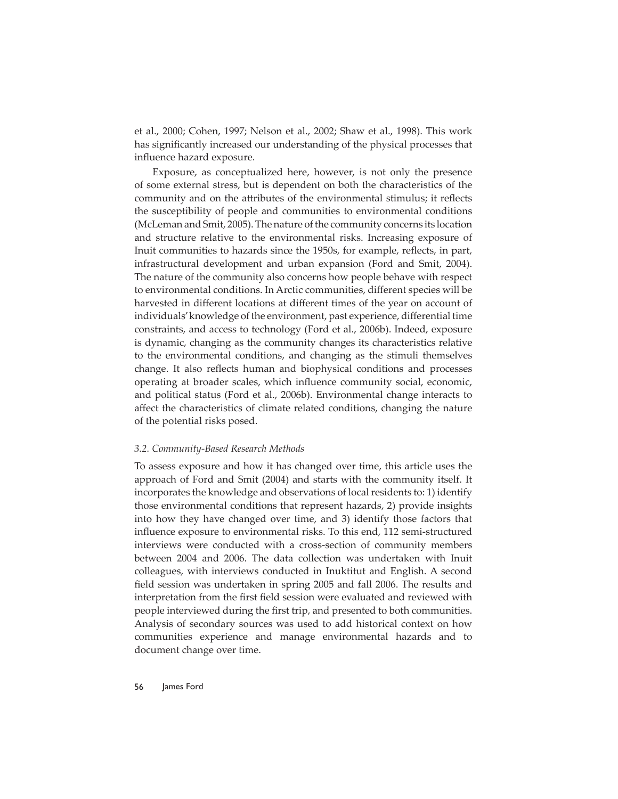et al., 2000; Cohen, 1997; Nelson et al., 2002; Shaw et al., 1998). This work has significantly increased our understanding of the physical processes that influence hazard exposure.

Exposure, as conceptualized here, however, is not only the presence of some external stress, but is dependent on both the characteristics of the community and on the attributes of the environmental stimulus; it reflects the susceptibility of people and communities to environmental conditions (McLeman and Smit, 2005). The nature of the community concerns its location and structure relative to the environmental risks. Increasing exposure of Inuit communities to hazards since the 1950s, for example, reflects, in part, infrastructural development and urban expansion (Ford and Smit, 2004). The nature of the community also concerns how people behave with respect to environmental conditions. In Arctic communities, different species will be harvested in different locations at different times of the year on account of individuals' knowledge of the environment, past experience, differential time constraints, and access to technology (Ford et al., 2006b). Indeed, exposure is dynamic, changing as the community changes its characteristics relative to the environmental conditions, and changing as the stimuli themselves change. It also reflects human and biophysical conditions and processes operating at broader scales, which influence community social, economic, and political status (Ford et al., 2006b). Environmental change interacts to affect the characteristics of climate related conditions, changing the nature of the potential risks posed.

#### *3.2. Community-Based Research Methods*

To assess exposure and how it has changed over time, this article uses the approach of Ford and Smit (2004) and starts with the community itself. It incorporates the knowledge and observations of local residents to: 1) identify those environmental conditions that represent hazards, 2) provide insights into how they have changed over time, and 3) identify those factors that influence exposure to environmental risks. To this end, 112 semi-structured interviews were conducted with a cross-section of community members between 2004 and 2006. The data collection was undertaken with Inuit colleagues, with interviews conducted in Inuktitut and English. A second field session was undertaken in spring 2005 and fall 2006. The results and interpretation from the first field session were evaluated and reviewed with people interviewed during the first trip, and presented to both communities. Analysis of secondary sources was used to add historical context on how communities experience and manage environmental hazards and to document change over time.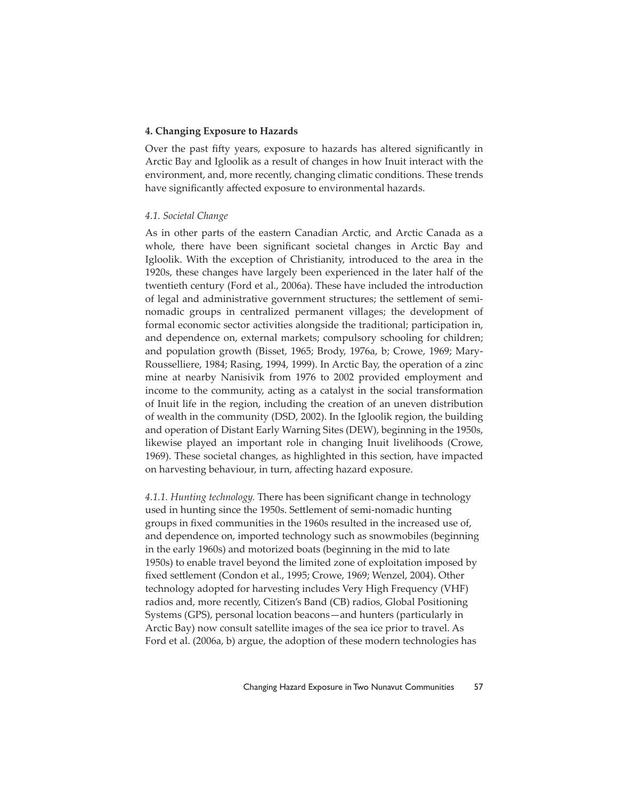#### **4. Changing Exposure to Hazards**

Over the past fifty years, exposure to hazards has altered significantly in Arctic Bay and Igloolik as a result of changes in how Inuit interact with the environment, and, more recently, changing climatic conditions. These trends have significantly affected exposure to environmental hazards.

#### *4.1. Societal Change*

As in other parts of the eastern Canadian Arctic, and Arctic Canada as a whole, there have been significant societal changes in Arctic Bay and Igloolik. With the exception of Christianity, introduced to the area in the 1920s, these changes have largely been experienced in the later half of the twentieth century (Ford et al., 2006a). These have included the introduction of legal and administrative government structures; the settlement of seminomadic groups in centralized permanent villages; the development of formal economic sector activities alongside the traditional; participation in, and dependence on, external markets; compulsory schooling for children; and population growth (Bisset, 1965; Brody, 1976a, b; Crowe, 1969; Mary-Rousselliere, 1984; Rasing, 1994, 1999). In Arctic Bay, the operation of a zinc mine at nearby Nanisivik from 1976 to 2002 provided employment and income to the community, acting as a catalyst in the social transformation of Inuit life in the region, including the creation of an uneven distribution of wealth in the community (DSD, 2002). In the Igloolik region, the building and operation of Distant Early Warning Sites (DEW), beginning in the 1950s, likewise played an important role in changing Inuit livelihoods (Crowe, 1969). These societal changes, as highlighted in this section, have impacted on harvesting behaviour, in turn, affecting hazard exposure.

*4.1.1. Hunting technology.* There has been significant change in technology used in hunting since the 1950s. Settlement of semi-nomadic hunting groups in fixed communities in the 1960s resulted in the increased use of, and dependence on, imported technology such as snowmobiles (beginning in the early 1960s) and motorized boats (beginning in the mid to late 1950s) to enable travel beyond the limited zone of exploitation imposed by fixed settlement (Condon et al., 1995; Crowe, 1969; Wenzel, 2004). Other technology adopted for harvesting includes Very High Frequency (VHF) radios and, more recently, Citizen's Band (CB) radios, Global Positioning Systems (GPS), personal location beacons—and hunters (particularly in Arctic Bay) now consult satellite images of the sea ice prior to travel. As Ford et al. (2006a, b) argue, the adoption of these modern technologies has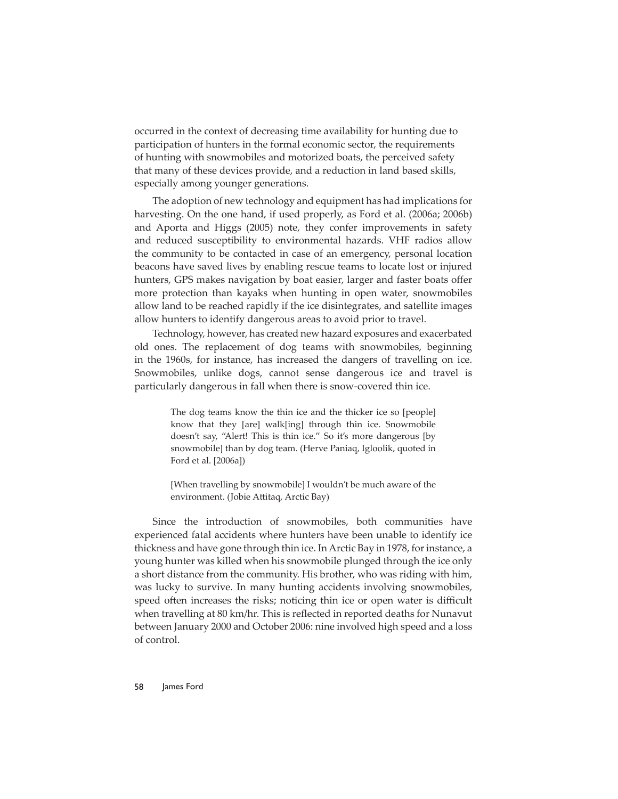occurred in the context of decreasing time availability for hunting due to participation of hunters in the formal economic sector, the requirements of hunting with snowmobiles and motorized boats, the perceived safety that many of these devices provide, and a reduction in land based skills, especially among younger generations.

The adoption of new technology and equipment has had implications for harvesting. On the one hand, if used properly, as Ford et al. (2006a; 2006b) and Aporta and Higgs (2005) note, they confer improvements in safety and reduced susceptibility to environmental hazards. VHF radios allow the community to be contacted in case of an emergency, personal location beacons have saved lives by enabling rescue teams to locate lost or injured hunters, GPS makes navigation by boat easier, larger and faster boats offer more protection than kayaks when hunting in open water, snowmobiles allow land to be reached rapidly if the ice disintegrates, and satellite images allow hunters to identify dangerous areas to avoid prior to travel.

Technology, however, has created new hazard exposures and exacerbated old ones. The replacement of dog teams with snowmobiles, beginning in the 1960s, for instance, has increased the dangers of travelling on ice. Snowmobiles, unlike dogs, cannot sense dangerous ice and travel is particularly dangerous in fall when there is snow-covered thin ice.

> The dog teams know the thin ice and the thicker ice so [people] know that they [are] walk[ing] through thin ice. Snowmobile doesn't say, "Alert! This is thin ice." So it's more dangerous [by snowmobile] than by dog team. (Herve Paniaq, Igloolik, quoted in Ford et al. [2006a])

> [When travelling by snowmobile] I wouldn't be much aware of the environment. (Jobie Attitaq, Arctic Bay)

Since the introduction of snowmobiles, both communities have experienced fatal accidents where hunters have been unable to identify ice thickness and have gone through thin ice. In Arctic Bay in 1978, for instance, a young hunter was killed when his snowmobile plunged through the ice only a short distance from the community. His brother, who was riding with him, was lucky to survive. In many hunting accidents involving snowmobiles, speed often increases the risks; noticing thin ice or open water is difficult when travelling at 80 km/hr. This is reflected in reported deaths for Nunavut between January 2000 and October 2006: nine involved high speed and a loss of control.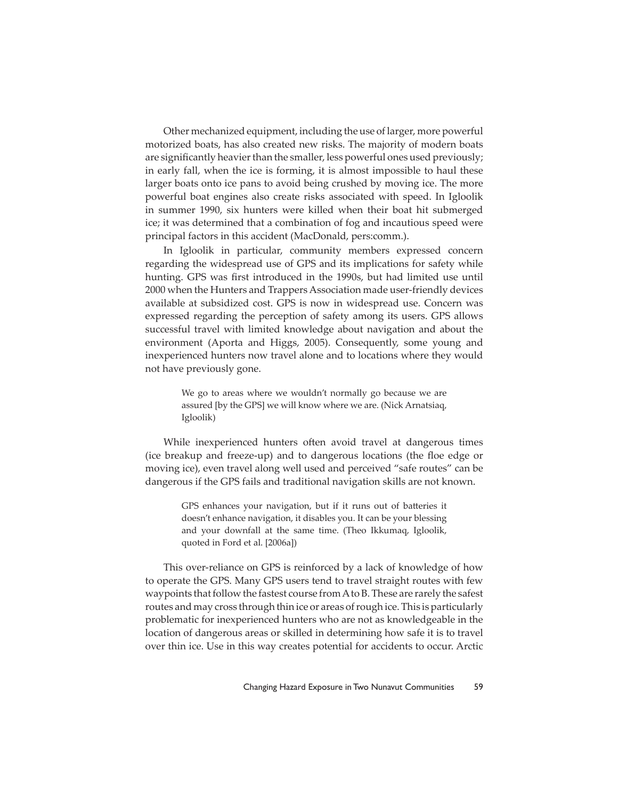Other mechanized equipment, including the use of larger, more powerful motorized boats, has also created new risks. The majority of modern boats are significantly heavier than the smaller, less powerful ones used previously; in early fall, when the ice is forming, it is almost impossible to haul these larger boats onto ice pans to avoid being crushed by moving ice. The more powerful boat engines also create risks associated with speed. In Igloolik in summer 1990, six hunters were killed when their boat hit submerged ice; it was determined that a combination of fog and incautious speed were principal factors in this accident (MacDonald, pers:comm.).

In Igloolik in particular, community members expressed concern regarding the widespread use of GPS and its implications for safety while hunting. GPS was first introduced in the 1990s, but had limited use until 2000 when the Hunters and Trappers Association made user-friendly devices available at subsidized cost. GPS is now in widespread use. Concern was expressed regarding the perception of safety among its users. GPS allows successful travel with limited knowledge about navigation and about the environment (Aporta and Higgs, 2005). Consequently, some young and inexperienced hunters now travel alone and to locations where they would not have previously gone.

> We go to areas where we wouldn't normally go because we are assured [by the GPS] we will know where we are. (Nick Arnatsiaq, Igloolik)

While inexperienced hunters often avoid travel at dangerous times (ice breakup and freeze-up) and to dangerous locations (the floe edge or moving ice), even travel along well used and perceived "safe routes" can be dangerous if the GPS fails and traditional navigation skills are not known.

> GPS enhances your navigation, but if it runs out of batteries it doesn't enhance navigation, it disables you. It can be your blessing and your downfall at the same time. (Theo Ikkumaq, Igloolik, quoted in Ford et al. [2006a])

This over-reliance on GPS is reinforced by a lack of knowledge of how to operate the GPS. Many GPS users tend to travel straight routes with few waypoints that follow the fastest course from A to B. These are rarely the safest routes and may cross through thin ice or areas of rough ice. This is particularly problematic for inexperienced hunters who are not as knowledgeable in the location of dangerous areas or skilled in determining how safe it is to travel over thin ice. Use in this way creates potential for accidents to occur. Arctic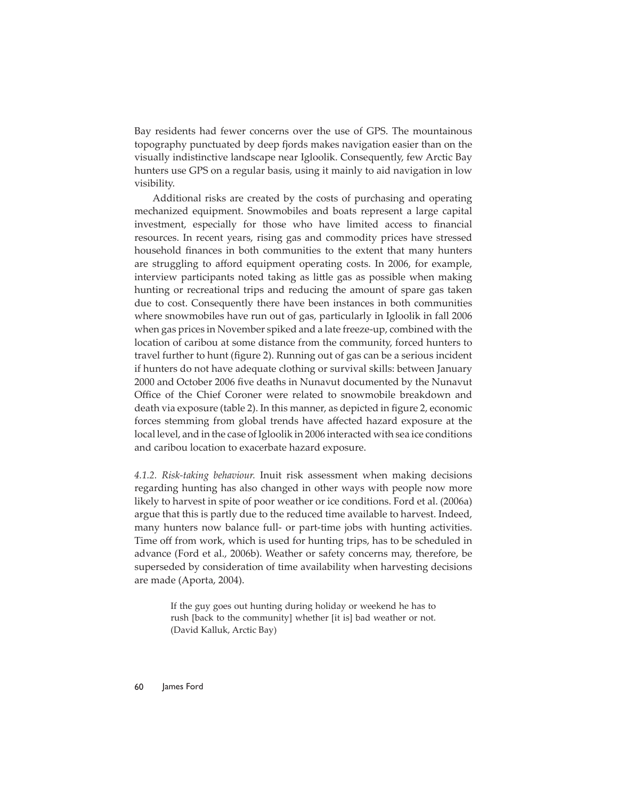Bay residents had fewer concerns over the use of GPS. The mountainous topography punctuated by deep fjords makes navigation easier than on the visually indistinctive landscape near Igloolik. Consequently, few Arctic Bay hunters use GPS on a regular basis, using it mainly to aid navigation in low visibility.

Additional risks are created by the costs of purchasing and operating mechanized equipment. Snowmobiles and boats represent a large capital investment, especially for those who have limited access to financial resources. In recent years, rising gas and commodity prices have stressed household finances in both communities to the extent that many hunters are struggling to afford equipment operating costs. In 2006, for example, interview participants noted taking as little gas as possible when making hunting or recreational trips and reducing the amount of spare gas taken due to cost. Consequently there have been instances in both communities where snowmobiles have run out of gas, particularly in Igloolik in fall 2006 when gas prices in November spiked and a late freeze-up, combined with the location of caribou at some distance from the community, forced hunters to travel further to hunt (figure 2). Running out of gas can be a serious incident if hunters do not have adequate clothing or survival skills: between January 2000 and October 2006 five deaths in Nunavut documented by the Nunavut Office of the Chief Coroner were related to snowmobile breakdown and death via exposure (table 2). In this manner, as depicted in figure 2, economic forces stemming from global trends have affected hazard exposure at the local level, and in the case of Igloolik in 2006 interacted with sea ice conditions and caribou location to exacerbate hazard exposure.

*4.1.2. Risk-taking behaviour.* Inuit risk assessment when making decisions regarding hunting has also changed in other ways with people now more likely to harvest in spite of poor weather or ice conditions. Ford et al. (2006a) argue that this is partly due to the reduced time available to harvest. Indeed, many hunters now balance full- or part-time jobs with hunting activities. Time off from work, which is used for hunting trips, has to be scheduled in advance (Ford et al., 2006b). Weather or safety concerns may, therefore, be superseded by consideration of time availability when harvesting decisions are made (Aporta, 2004).

> If the guy goes out hunting during holiday or weekend he has to rush [back to the community] whether [it is] bad weather or not. (David Kalluk, Arctic Bay)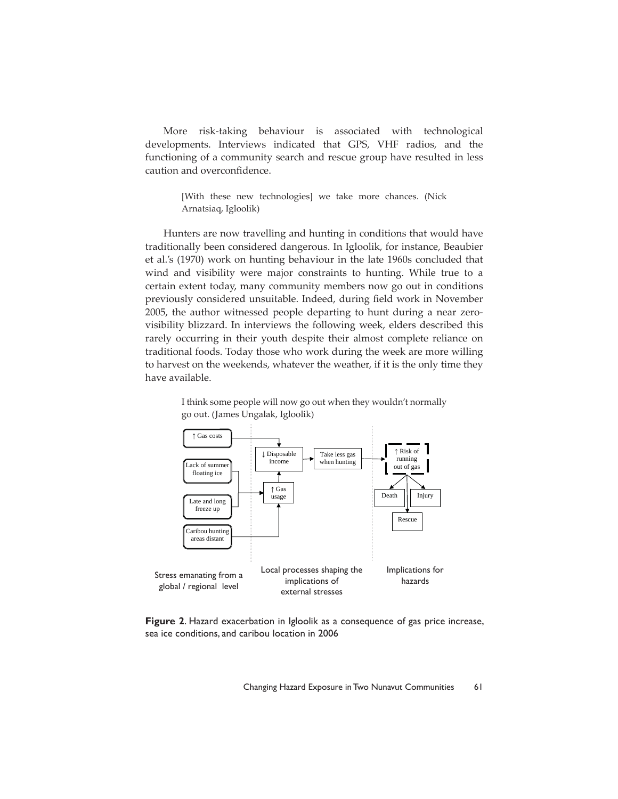More risk-taking behaviour is associated with technological developments. Interviews indicated that GPS, VHF radios, and the functioning of a community search and rescue group have resulted in less caution and overconfidence.

> [With these new technologies] we take more chances. (Nick Arnatsiaq, Igloolik)

Hunters are now travelling and hunting in conditions that would have traditionally been considered dangerous. In Igloolik, for instance, Beaubier et al.'s (1970) work on hunting behaviour in the late 1960s concluded that wind and visibility were major constraints to hunting. While true to a certain extent today, many community members now go out in conditions previously considered unsuitable. Indeed, during field work in November 2005, the author witnessed people departing to hunt during a near zerovisibility blizzard. In interviews the following week, elders described this rarely occurring in their youth despite their almost complete reliance on traditional foods. Today those who work during the week are more willing to harvest on the weekends, whatever the weather, if it is the only time they have available.



I think some people will now go out when they wouldn't normally go out. (James Ungalak, Igloolik)

**Figure 2**. Hazard exacerbation in Igloolik as a consequence of gas price increase, sea ice conditions, and caribou location in 2006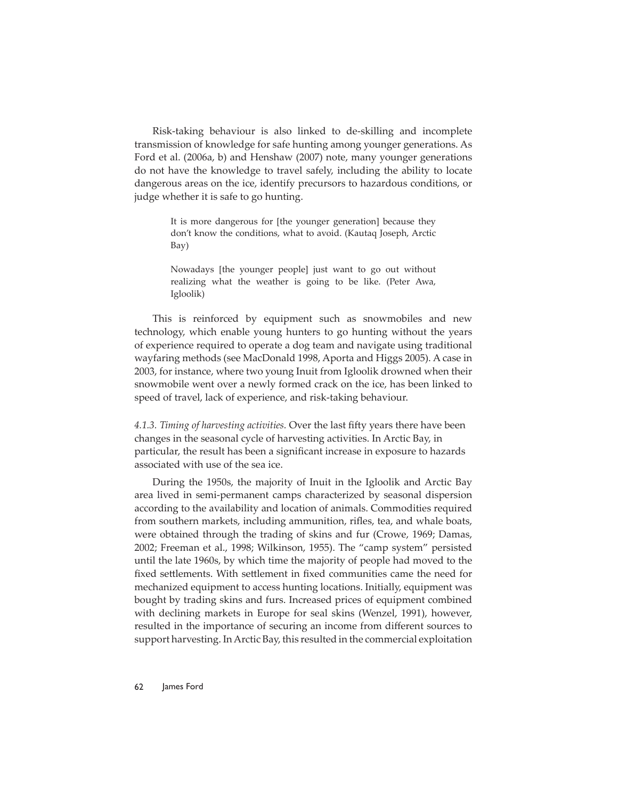Risk-taking behaviour is also linked to de-skilling and incomplete transmission of knowledge for safe hunting among younger generations. As Ford et al. (2006a, b) and Henshaw (2007) note, many younger generations do not have the knowledge to travel safely, including the ability to locate dangerous areas on the ice, identify precursors to hazardous conditions, or judge whether it is safe to go hunting.

> It is more dangerous for [the younger generation] because they don't know the conditions, what to avoid. (Kautaq Joseph, Arctic Bay)

> Nowadays [the younger people] just want to go out without realizing what the weather is going to be like. (Peter Awa, Igloolik)

This is reinforced by equipment such as snowmobiles and new technology, which enable young hunters to go hunting without the years of experience required to operate a dog team and navigate using traditional wayfaring methods (see MacDonald 1998, Aporta and Higgs 2005). A case in 2003, for instance, where two young Inuit from Igloolik drowned when their snowmobile went over a newly formed crack on the ice, has been linked to speed of travel, lack of experience, and risk-taking behaviour.

4.1.3. Timing of harvesting activities. Over the last fifty years there have been changes in the seasonal cycle of harvesting activities. In Arctic Bay, in particular, the result has been a significant increase in exposure to hazards associated with use of the sea ice.

During the 1950s, the majority of Inuit in the Igloolik and Arctic Bay area lived in semi-permanent camps characterized by seasonal dispersion according to the availability and location of animals. Commodities required from southern markets, including ammunition, rifles, tea, and whale boats, were obtained through the trading of skins and fur (Crowe, 1969; Damas, 2002; Freeman et al., 1998; Wilkinson, 1955). The "camp system" persisted until the late 1960s, by which time the majority of people had moved to the fixed settlements. With settlement in fixed communities came the need for mechanized equipment to access hunting locations. Initially, equipment was bought by trading skins and furs. Increased prices of equipment combined with declining markets in Europe for seal skins (Wenzel, 1991), however, resulted in the importance of securing an income from different sources to support harvesting. In Arctic Bay, this resulted in the commercial exploitation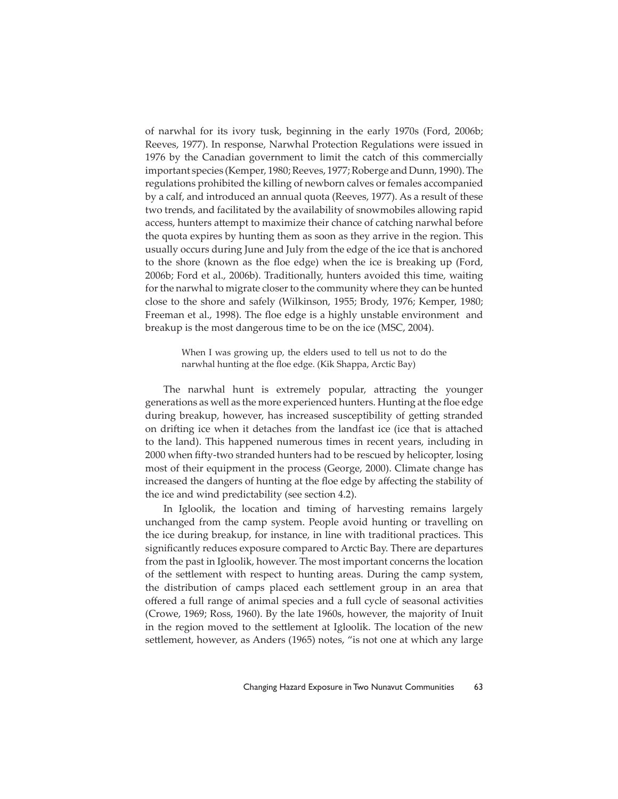of narwhal for its ivory tusk, beginning in the early 1970s (Ford, 2006b; Reeves, 1977). In response, Narwhal Protection Regulations were issued in 1976 by the Canadian government to limit the catch of this commercially important species (Kemper, 1980; Reeves, 1977; Roberge and Dunn, 1990). The regulations prohibited the killing of newborn calves or females accompanied by a calf, and introduced an annual quota (Reeves, 1977). As a result of these two trends, and facilitated by the availability of snowmobiles allowing rapid access, hunters attempt to maximize their chance of catching narwhal before the quota expires by hunting them as soon as they arrive in the region. This usually occurs during June and July from the edge of the ice that is anchored to the shore (known as the floe edge) when the ice is breaking up (Ford, 2006b; Ford et al., 2006b). Traditionally, hunters avoided this time, waiting for the narwhal to migrate closer to the community where they can be hunted close to the shore and safely (Wilkinson, 1955; Brody, 1976; Kemper, 1980; Freeman et al., 1998). The floe edge is a highly unstable environment and breakup is the most dangerous time to be on the ice (MSC, 2004).

> When I was growing up, the elders used to tell us not to do the narwhal hunting at the floe edge. (Kik Shappa, Arctic Bay)

The narwhal hunt is extremely popular, attracting the younger generations as well as the more experienced hunters. Hunting at the floe edge during breakup, however, has increased susceptibility of getting stranded on drifting ice when it detaches from the landfast ice (ice that is attached to the land). This happened numerous times in recent years, including in 2000 when fifty-two stranded hunters had to be rescued by helicopter, losing most of their equipment in the process (George, 2000). Climate change has increased the dangers of hunting at the floe edge by affecting the stability of the ice and wind predictability (see section 4.2).

In Igloolik, the location and timing of harvesting remains largely unchanged from the camp system. People avoid hunting or travelling on the ice during breakup, for instance, in line with traditional practices. This significantly reduces exposure compared to Arctic Bay. There are departures from the past in Igloolik, however. The most important concerns the location of the settlement with respect to hunting areas. During the camp system, the distribution of camps placed each settlement group in an area that off ered a full range of animal species and a full cycle of seasonal activities (Crowe, 1969; Ross, 1960). By the late 1960s, however, the majority of Inuit in the region moved to the settlement at Igloolik. The location of the new settlement, however, as Anders (1965) notes, "is not one at which any large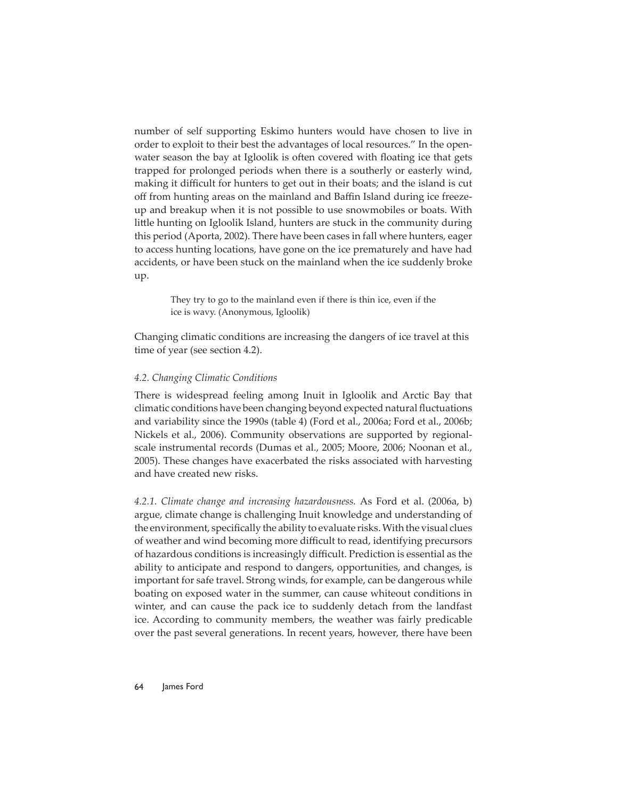number of self supporting Eskimo hunters would have chosen to live in order to exploit to their best the advantages of local resources." In the openwater season the bay at Igloolik is often covered with floating ice that gets trapped for prolonged periods when there is a southerly or easterly wind, making it difficult for hunters to get out in their boats; and the island is cut off from hunting areas on the mainland and Baffin Island during ice freezeup and breakup when it is not possible to use snowmobiles or boats. With little hunting on Igloolik Island, hunters are stuck in the community during this period (Aporta, 2002). There have been cases in fall where hunters, eager to access hunting locations, have gone on the ice prematurely and have had accidents, or have been stuck on the mainland when the ice suddenly broke up.

> They try to go to the mainland even if there is thin ice, even if the ice is wavy. (Anonymous, Igloolik)

Changing climatic conditions are increasing the dangers of ice travel at this time of year (see section 4.2).

#### *4.2. Changing Climatic Conditions*

There is widespread feeling among Inuit in Igloolik and Arctic Bay that climatic conditions have been changing beyond expected natural fluctuations and variability since the 1990s (table 4) (Ford et al., 2006a; Ford et al., 2006b; Nickels et al., 2006). Community observations are supported by regionalscale instrumental records (Dumas et al., 2005; Moore, 2006; Noonan et al., 2005). These changes have exacerbated the risks associated with harvesting and have created new risks.

*4.2.1. Climate change and increasing hazardousness.* As Ford et al. (2006a, b) argue, climate change is challenging Inuit knowledge and understanding of the environment, specifically the ability to evaluate risks. With the visual clues of weather and wind becoming more difficult to read, identifying precursors of hazardous conditions is increasingly difficult. Prediction is essential as the ability to anticipate and respond to dangers, opportunities, and changes, is important for safe travel. Strong winds, for example, can be dangerous while boating on exposed water in the summer, can cause whiteout conditions in winter, and can cause the pack ice to suddenly detach from the landfast ice. According to community members, the weather was fairly predicable over the past several generations. In recent years, however, there have been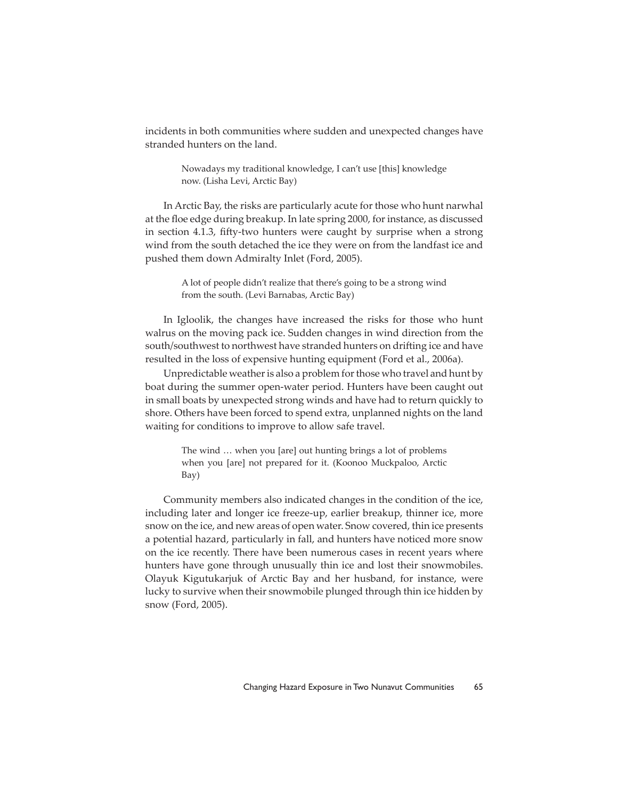incidents in both communities where sudden and unexpected changes have stranded hunters on the land.

> Nowadays my traditional knowledge, I can't use [this] knowledge now. (Lisha Levi, Arctic Bay)

In Arctic Bay, the risks are particularly acute for those who hunt narwhal at the floe edge during breakup. In late spring 2000, for instance, as discussed in section 4.1.3, fifty-two hunters were caught by surprise when a strong wind from the south detached the ice they were on from the landfast ice and pushed them down Admiralty Inlet (Ford, 2005).

> A lot of people didn't realize that there's going to be a strong wind from the south. (Levi Barnabas, Arctic Bay)

In Igloolik, the changes have increased the risks for those who hunt walrus on the moving pack ice. Sudden changes in wind direction from the south/southwest to northwest have stranded hunters on drifting ice and have resulted in the loss of expensive hunting equipment (Ford et al., 2006a).

Unpredictable weather is also a problem for those who travel and hunt by boat during the summer open-water period. Hunters have been caught out in small boats by unexpected strong winds and have had to return quickly to shore. Others have been forced to spend extra, unplanned nights on the land waiting for conditions to improve to allow safe travel.

> The wind … when you [are] out hunting brings a lot of problems when you [are] not prepared for it. (Koonoo Muckpaloo, Arctic Bay)

Community members also indicated changes in the condition of the ice, including later and longer ice freeze-up, earlier breakup, thinner ice, more snow on the ice, and new areas of open water. Snow covered, thin ice presents a potential hazard, particularly in fall, and hunters have noticed more snow on the ice recently. There have been numerous cases in recent years where hunters have gone through unusually thin ice and lost their snowmobiles. Olayuk Kigutukarjuk of Arctic Bay and her husband, for instance, were lucky to survive when their snowmobile plunged through thin ice hidden by snow (Ford, 2005).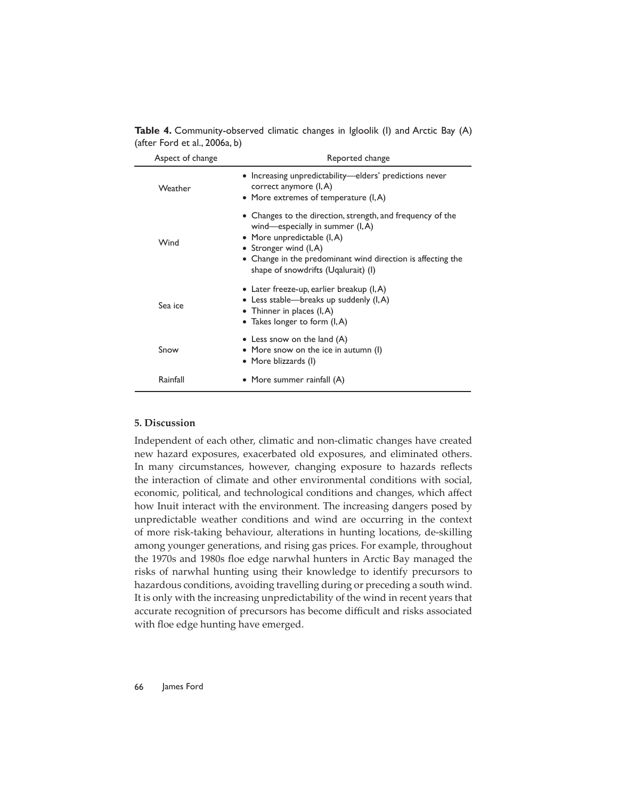Table 4. Community-observed climatic changes in Igloolik (I) and Arctic Bay (A) (after Ford et al., 2006a, b)

| Aspect of change | Reported change                                                                                                                                                                                                                                                   |  |  |
|------------------|-------------------------------------------------------------------------------------------------------------------------------------------------------------------------------------------------------------------------------------------------------------------|--|--|
| Weather          | • Increasing unpredictability—elders' predictions never<br>correct anymore (I, A)<br>• More extremes of temperature (I, A)                                                                                                                                        |  |  |
| Wind             | • Changes to the direction, strength, and frequency of the<br>wind—especially in summer $(I, A)$<br>• More unpredictable $(I, A)$<br>• Stronger wind (I, A)<br>• Change in the predominant wind direction is affecting the<br>shape of snowdrifts (Ugalurait) (I) |  |  |
| Sea ice          | • Later freeze-up, earlier breakup $(I, A)$<br>• Less stable—breaks up suddenly $(I, A)$<br>• Thinner in places $(I, A)$<br>• Takes longer to form $(I, A)$                                                                                                       |  |  |
| Snow             | • Less snow on the land $(A)$<br>• More snow on the ice in autumn (I)<br>• More blizzards (I)                                                                                                                                                                     |  |  |
| Rainfall         | • More summer rainfall (A)                                                                                                                                                                                                                                        |  |  |

#### **5. Discussion**

Independent of each other, climatic and non-climatic changes have created new hazard exposures, exacerbated old exposures, and eliminated others. In many circumstances, however, changing exposure to hazards reflects the interaction of climate and other environmental conditions with social, economic, political, and technological conditions and changes, which affect how Inuit interact with the environment. The increasing dangers posed by unpredictable weather conditions and wind are occurring in the context of more risk-taking behaviour, alterations in hunting locations, de-skilling among younger generations, and rising gas prices. For example, throughout the 1970s and 1980s floe edge narwhal hunters in Arctic Bay managed the risks of narwhal hunting using their knowledge to identify precursors to hazardous conditions, avoiding travelling during or preceding a south wind. It is only with the increasing unpredictability of the wind in recent years that accurate recognition of precursors has become difficult and risks associated with floe edge hunting have emerged.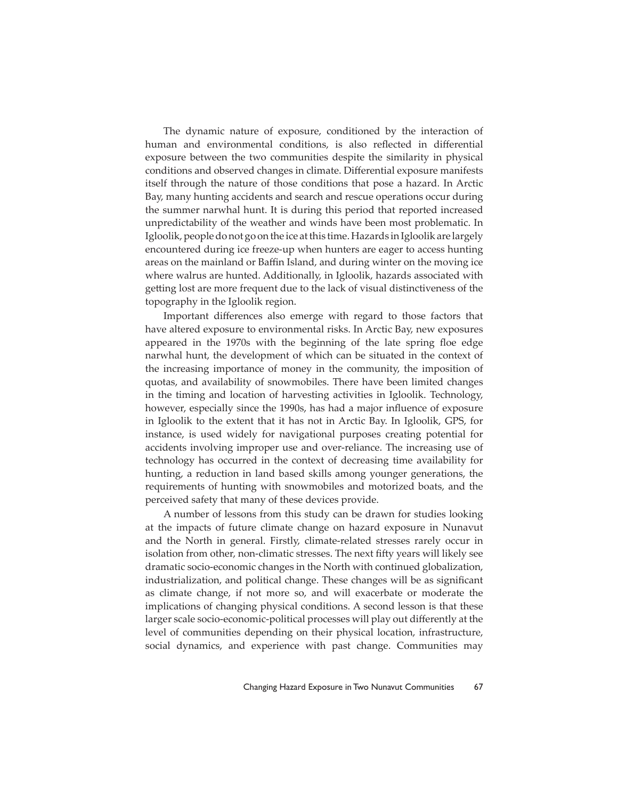The dynamic nature of exposure, conditioned by the interaction of human and environmental conditions, is also reflected in differential exposure between the two communities despite the similarity in physical conditions and observed changes in climate. Differential exposure manifests itself through the nature of those conditions that pose a hazard. In Arctic Bay, many hunting accidents and search and rescue operations occur during the summer narwhal hunt. It is during this period that reported increased unpredictability of the weather and winds have been most problematic. In Igloolik, people do not go on the ice at this time. Hazards in Igloolik are largely encountered during ice freeze-up when hunters are eager to access hunting areas on the mainland or Baffin Island, and during winter on the moving ice where walrus are hunted. Additionally, in Igloolik, hazards associated with getting lost are more frequent due to the lack of visual distinctiveness of the topography in the Igloolik region.

Important differences also emerge with regard to those factors that have altered exposure to environmental risks. In Arctic Bay, new exposures appeared in the 1970s with the beginning of the late spring floe edge narwhal hunt, the development of which can be situated in the context of the increasing importance of money in the community, the imposition of quotas, and availability of snowmobiles. There have been limited changes in the timing and location of harvesting activities in Igloolik. Technology, however, especially since the 1990s, has had a major influence of exposure in Igloolik to the extent that it has not in Arctic Bay. In Igloolik, GPS, for instance, is used widely for navigational purposes creating potential for accidents involving improper use and over-reliance. The increasing use of technology has occurred in the context of decreasing time availability for hunting, a reduction in land based skills among younger generations, the requirements of hunting with snowmobiles and motorized boats, and the perceived safety that many of these devices provide.

A number of lessons from this study can be drawn for studies looking at the impacts of future climate change on hazard exposure in Nunavut and the North in general. Firstly, climate-related stresses rarely occur in isolation from other, non-climatic stresses. The next fifty years will likely see dramatic socio-economic changes in the North with continued globalization, industrialization, and political change. These changes will be as significant as climate change, if not more so, and will exacerbate or moderate the implications of changing physical conditions. A second lesson is that these larger scale socio-economic-political processes will play out differently at the level of communities depending on their physical location, infrastructure, social dynamics, and experience with past change. Communities may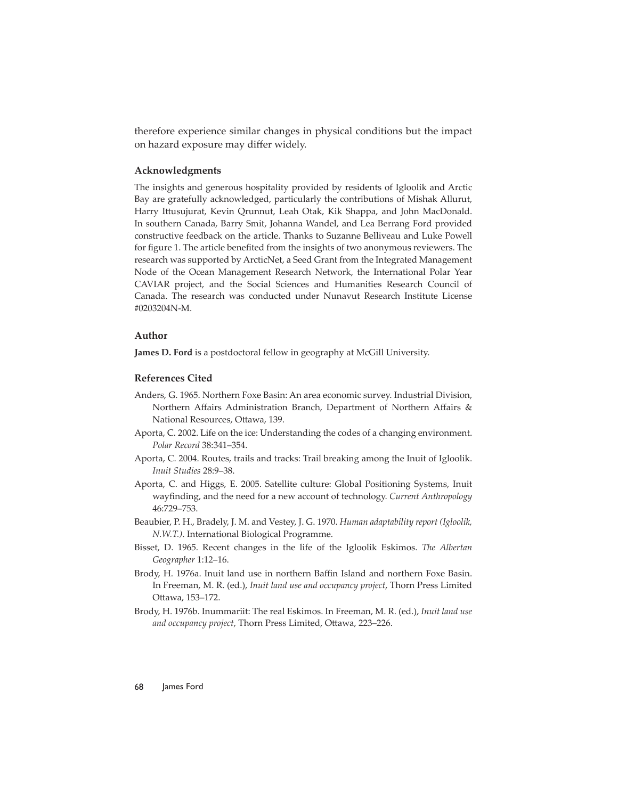therefore experience similar changes in physical conditions but the impact on hazard exposure may differ widely.

#### **Acknowledgments**

The insights and generous hospitality provided by residents of Igloolik and Arctic Bay are gratefully acknowledged, particularly the contributions of Mishak Allurut, Harry Ittusujurat, Kevin Qrunnut, Leah Otak, Kik Shappa, and John MacDonald. In southern Canada, Barry Smit, Johanna Wandel, and Lea Berrang Ford provided constructive feedback on the article. Thanks to Suzanne Belliveau and Luke Powell for figure 1. The article benefited from the insights of two anonymous reviewers. The research was supported by ArcticNet, a Seed Grant from the Integrated Management Node of the Ocean Management Research Network, the International Polar Year CAVIAR project, and the Social Sciences and Humanities Research Council of Canada. The research was conducted under Nunavut Research Institute License #0203204N-M.

#### **Author**

**James D. Ford** is a postdoctoral fellow in geography at McGill University.

#### **References Cited**

- Anders, G. 1965. Northern Foxe Basin: An area economic survey. Industrial Division, Northern Affairs Administration Branch, Department of Northern Affairs & National Resources, Ottawa, 139.
- Aporta, C. 2002. Life on the ice: Understanding the codes of a changing environment. *Polar Record* 38:341–354.
- Aporta, C. 2004. Routes, trails and tracks: Trail breaking among the Inuit of Igloolik. *Inuit Studies* 28:9–38.
- Aporta, C. and Higgs, E. 2005. Satellite culture: Global Positioning Systems, Inuit wayfinding, and the need for a new account of technology. *Current Anthropology* 46:729–753.
- Beaubier, P. H., Bradely, J. M. and Vestey, J. G. 1970. *Human adaptability report (Igloolik, N.W.T.)*. International Biological Programme.
- Bisset, D. 1965. Recent changes in the life of the Igloolik Eskimos. *The Albertan Geographer* 1:12–16.
- Brody, H. 1976a. Inuit land use in northern Baffin Island and northern Foxe Basin. In Freeman, M. R. (ed.), *Inuit land use and occupancy project*, Thorn Press Limited Ottawa, 153-172.
- Brody, H. 1976b. Inummariit: The real Eskimos. In Freeman, M. R. (ed.), *Inuit land use*  and occupancy project, Thorn Press Limited, Ottawa, 223-226.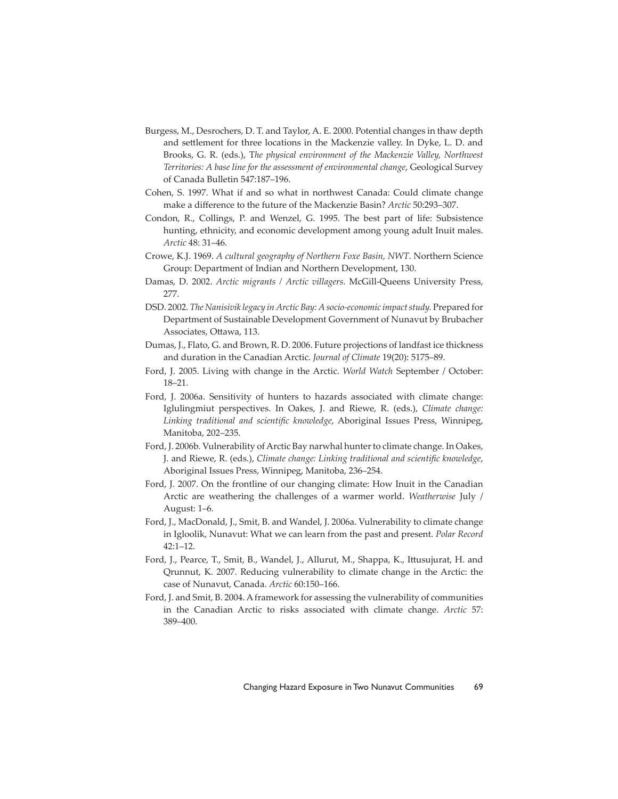- Burgess, M., Desrochers, D. T. and Taylor, A. E. 2000. Potential changes in thaw depth and settlement for three locations in the Mackenzie valley. In Dyke, L. D. and Brooks, G. R. (eds.), T*he physical environment of the Mackenzie Valley, Northwest Territories: A base line for the assessment of environmental change*, Geological Survey of Canada Bulletin 547:187–196.
- Cohen, S. 1997. What if and so what in northwest Canada: Could climate change make a difference to the future of the Mackenzie Basin? Arctic 50:293-307.
- Condon, R., Collings, P. and Wenzel, G. 1995. The best part of life: Subsistence hunting, ethnicity, and economic development among young adult Inuit males. *Arctic* 48: 31–46.
- Crowe, K.J. 1969. *A cultural geography of Northern Foxe Basin, NWT*. Northern Science Group: Department of Indian and Northern Development, 130.
- Damas, D. 2002. *Arctic migrants / Arctic villagers*. McGill-Queens University Press, 277.
- DSD. 2002. *The Nanisivik legacy in Arctic Bay: A socio-economic impact study.* Prepared for Department of Sustainable Development Government of Nunavut by Brubacher Associates, Ottawa, 113.
- Dumas, J., Flato, G. and Brown, R. D. 2006. Future projections of landfast ice thickness and duration in the Canadian Arctic. *Journal of Climate* 19(20): 5175–89.
- Ford, J. 2005. Living with change in the Arctic. *World Watch* September / October: 18–21.
- Ford, J. 2006a. Sensitivity of hunters to hazards associated with climate change: Iglulingmiut perspectives. In Oakes, J. and Riewe, R. (eds.), *Climate change:*  Linking traditional and scientific knowledge, Aboriginal Issues Press, Winnipeg, Manitoba, 202–235.
- Ford, J. 2006b. Vulnerability of Arctic Bay narwhal hunter to climate change. In Oakes, J. and Riewe, R. (eds.), *Climate change: Linking traditional and scientific knowledge*, Aboriginal Issues Press, Winnipeg, Manitoba, 236–254.
- Ford, J. 2007. On the frontline of our changing climate: How Inuit in the Canadian Arctic are weathering the challenges of a warmer world. *Weatherwise* July / August: 1–6.
- Ford, J., MacDonald, J., Smit, B. and Wandel, J. 2006a. Vulnerability to climate change in Igloolik, Nunavut: What we can learn from the past and present. *Polar Record*  42:1–12.
- Ford, J., Pearce, T., Smit, B., Wandel, J., Allurut, M., Shappa, K., Ittusujurat, H. and Qrunnut, K. 2007. Reducing vulnerability to climate change in the Arctic: the case of Nunavut, Canada. *Arctic* 60:150–166.
- Ford, J. and Smit, B. 2004. A framework for assessing the vulnerability of communities in the Canadian Arctic to risks associated with climate change. *Arctic* 57: 389–400.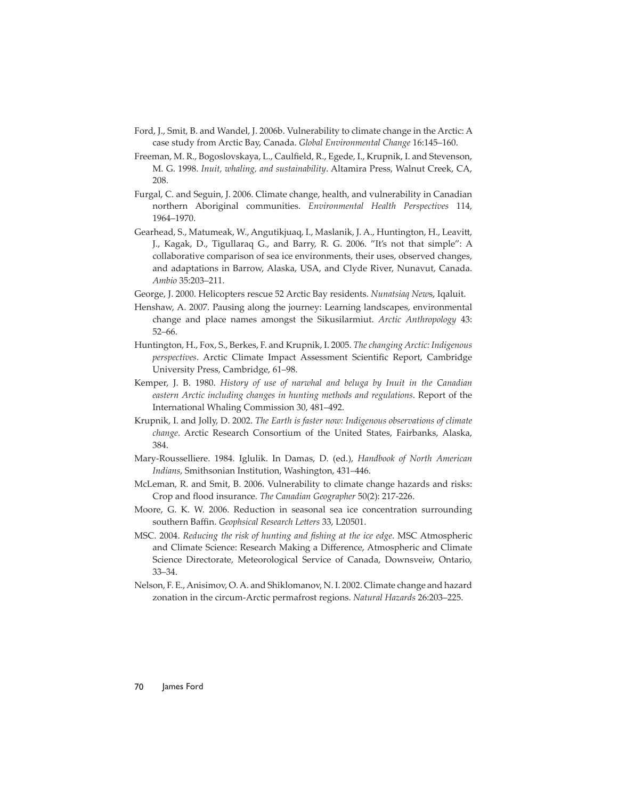- Ford, J., Smit, B. and Wandel, J. 2006b. Vulnerability to climate change in the Arctic: A case study from Arctic Bay, Canada. *Global Environmental Change* 16:145–160.
- Freeman, M. R., Bogoslovskaya, L., Caulfield, R., Egede, I., Krupnik, I. and Stevenson, M. G. 1998. *Inuit, whaling, and sustainability*. Altamira Press, Walnut Creek, CA, 208.
- Furgal, C. and Seguin, J. 2006. Climate change, health, and vulnerability in Canadian northern Aboriginal communities. *Environmental Health Perspectives* 114, 1964–1970.
- Gearhead, S., Matumeak, W., Angutikjuaq, I., Maslanik, J. A., Huntington, H., Leavitt, J., Kagak, D., Tigullaraq G., and Barry, R. G. 2006. "It's not that simple": A collaborative comparison of sea ice environments, their uses, observed changes, and adaptations in Barrow, Alaska, USA, and Clyde River, Nunavut, Canada. *Ambio* 35:203–211.
- George, J. 2000. Helicopters rescue 52 Arctic Bay residents. *Nunatsiaq New*s, Iqaluit.
- Henshaw, A. 2007. Pausing along the journey: Learning landscapes, environmental change and place names amongst the Sikusilarmiut. *Arctic Anthropology* 43: 52–66.
- Huntington, H., Fox, S., Berkes, F. and Krupnik, I. 2005. *The changing Arctic: Indigenous perspectives*. Arctic Climate Impact Assessment Scientific Report, Cambridge University Press, Cambridge, 61–98.
- Kemper, J. B. 1980. *History of use of narwhal and beluga by Inuit in the Canadian eastern Arctic including changes in hunting methods and regulations*. Report of the International Whaling Commission 30, 481–492.
- Krupnik, I. and Jolly, D. 2002. *The Earth is faster now: Indigenous observations of climate change*. Arctic Research Consortium of the United States, Fairbanks, Alaska, 384.
- Mary-Rousselliere. 1984. Iglulik. In Damas, D. (ed.), *Handbook of North American Indians*, Smithsonian Institution, Washington, 431–446.
- McLeman, R. and Smit, B. 2006. Vulnerability to climate change hazards and risks: Crop and flood insurance. *The Canadian Geographer* 50(2): 217-226.
- Moore, G. K. W. 2006. Reduction in seasonal sea ice concentration surrounding southern Baffin. *Geophsical Research Letters* 33, L20501.
- MSC. 2004. *Reducing the risk of hunting and fi shing at the ice edge*. MSC Atmospheric and Climate Science: Research Making a Difference, Atmospheric and Climate Science Directorate, Meteorological Service of Canada, Downsveiw, Ontario, 33–34.
- Nelson, F. E., Anisimov, O. A. and Shiklomanov, N. I. 2002. Climate change and hazard zonation in the circum-Arctic permafrost regions. *Natural Hazards* 26:203–225.